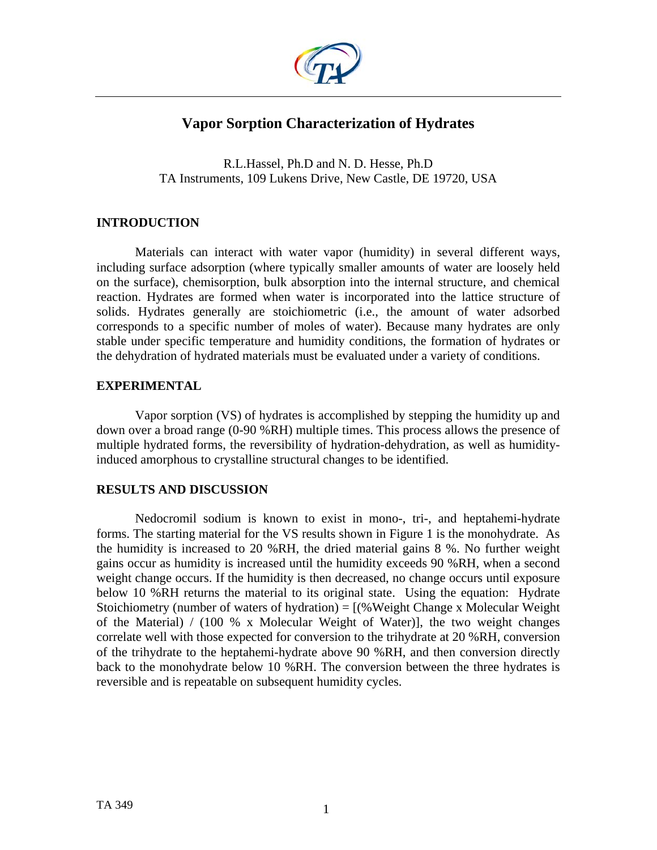

# **Vapor Sorption Characterization of Hydrates**

R.L.Hassel, Ph.D and N. D. Hesse, Ph.D TA Instruments, 109 Lukens Drive, New Castle, DE 19720, USA

## **INTRODUCTION**

Materials can interact with water vapor (humidity) in several different ways, including surface adsorption (where typically smaller amounts of water are loosely held on the surface), chemisorption, bulk absorption into the internal structure, and chemical reaction. Hydrates are formed when water is incorporated into the lattice structure of solids. Hydrates generally are stoichiometric (i.e., the amount of water adsorbed corresponds to a specific number of moles of water). Because many hydrates are only stable under specific temperature and humidity conditions, the formation of hydrates or the dehydration of hydrated materials must be evaluated under a variety of conditions.

## **EXPERIMENTAL**

Vapor sorption (VS) of hydrates is accomplished by stepping the humidity up and down over a broad range (0-90 %RH) multiple times. This process allows the presence of multiple hydrated forms, the reversibility of hydration-dehydration, as well as humidityinduced amorphous to crystalline structural changes to be identified.

## **RESULTS AND DISCUSSION**

Nedocromil sodium is known to exist in mono-, tri-, and heptahemi-hydrate forms. The starting material for the VS results shown in Figure 1 is the monohydrate. As the humidity is increased to 20 %RH, the dried material gains 8 %. No further weight gains occur as humidity is increased until the humidity exceeds 90 %RH, when a second weight change occurs. If the humidity is then decreased, no change occurs until exposure below 10 %RH returns the material to its original state. Using the equation: Hydrate Stoichiometry (number of waters of hydration) =  $[(%Weight Change x Molecular Weight]$ of the Material) / (100 % x Molecular Weight of Water)], the two weight changes correlate well with those expected for conversion to the trihydrate at 20 %RH, conversion of the trihydrate to the heptahemi-hydrate above 90 %RH, and then conversion directly back to the monohydrate below 10 %RH. The conversion between the three hydrates is reversible and is repeatable on subsequent humidity cycles.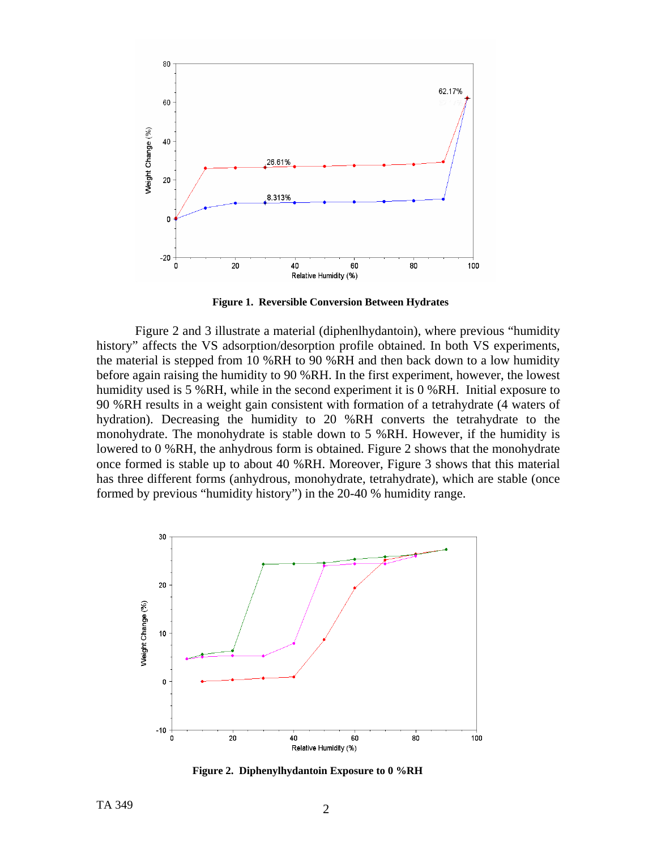

**Figure 1. Reversible Conversion Between Hydrates**

Figure 2 and 3 illustrate a material (diphenlhydantoin), where previous "humidity history" affects the VS adsorption/desorption profile obtained. In both VS experiments, the material is stepped from 10 %RH to 90 %RH and then back down to a low humidity before again raising the humidity to 90 %RH. In the first experiment, however, the lowest humidity used is 5 %RH, while in the second experiment it is 0 %RH. Initial exposure to 90 %RH results in a weight gain consistent with formation of a tetrahydrate (4 waters of hydration). Decreasing the humidity to 20 %RH converts the tetrahydrate to the monohydrate. The monohydrate is stable down to 5 %RH. However, if the humidity is lowered to 0 %RH, the anhydrous form is obtained. Figure 2 shows that the monohydrate once formed is stable up to about 40 %RH. Moreover, Figure 3 shows that this material has three different forms (anhydrous, monohydrate, tetrahydrate), which are stable (once formed by previous "humidity history") in the 20-40 % humidity range.



 **Figure 2. Diphenylhydantoin Exposure to 0 %RH**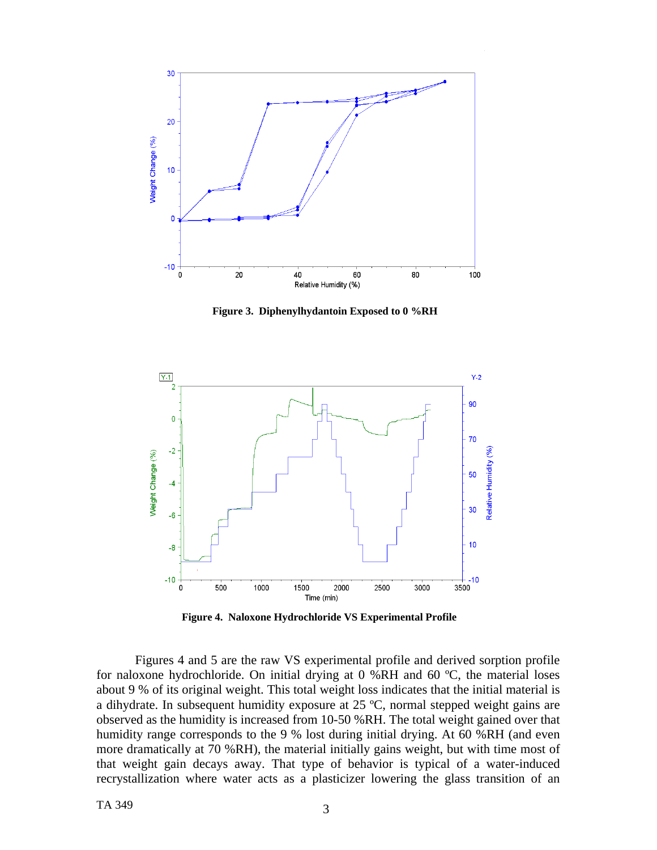

**Figure 3. Diphenylhydantoin Exposed to 0 %RH** 



 **Figure 4. Naloxone Hydrochloride VS Experimental Profile**

Figures 4 and 5 are the raw VS experimental profile and derived sorption profile for naloxone hydrochloride. On initial drying at 0 %RH and 60 ºC, the material loses about 9 % of its original weight. This total weight loss indicates that the initial material is a dihydrate. In subsequent humidity exposure at 25 ºC, normal stepped weight gains are observed as the humidity is increased from 10-50 %RH. The total weight gained over that humidity range corresponds to the 9 % lost during initial drying. At 60 %RH (and even more dramatically at 70 %RH), the material initially gains weight, but with time most of that weight gain decays away. That type of behavior is typical of a water-induced recrystallization where water acts as a plasticizer lowering the glass transition of an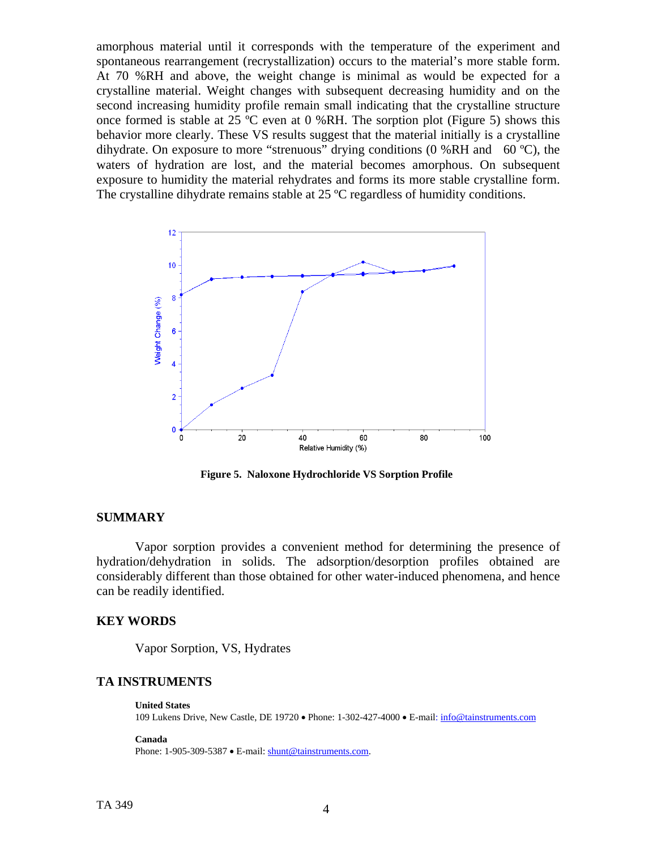amorphous material until it corresponds with the temperature of the experiment and spontaneous rearrangement (recrystallization) occurs to the material's more stable form. At 70 %RH and above, the weight change is minimal as would be expected for a crystalline material. Weight changes with subsequent decreasing humidity and on the second increasing humidity profile remain small indicating that the crystalline structure once formed is stable at 25 ºC even at 0 %RH. The sorption plot (Figure 5) shows this behavior more clearly. These VS results suggest that the material initially is a crystalline dihydrate. On exposure to more "strenuous" drying conditions  $(0\%RH$  and  $(60 °C)$ , the waters of hydration are lost, and the material becomes amorphous. On subsequent exposure to humidity the material rehydrates and forms its more stable crystalline form. The crystalline dihydrate remains stable at 25 °C regardless of humidity conditions.



 **Figure 5. Naloxone Hydrochloride VS Sorption Profile** 

### **SUMMARY**

Vapor sorption provides a convenient method for determining the presence of hydration/dehydration in solids. The adsorption/desorption profiles obtained are considerably different than those obtained for other water-induced phenomena, and hence can be readily identified.

### **KEY WORDS**

Vapor Sorption, VS, Hydrates

## **TA INSTRUMENTS**

**United States** 109 Lukens Drive, New Castle, DE 19720 • Phone: 1-302-427-4000 • E-mail: [info@tainstruments.com](mailto:info@tainstruments.com) 

**Canada** 

Phone: 1-905-309-5387 • E-mail: [shunt@tainstruments.com.](mailto:shunt@tainstruments.com)